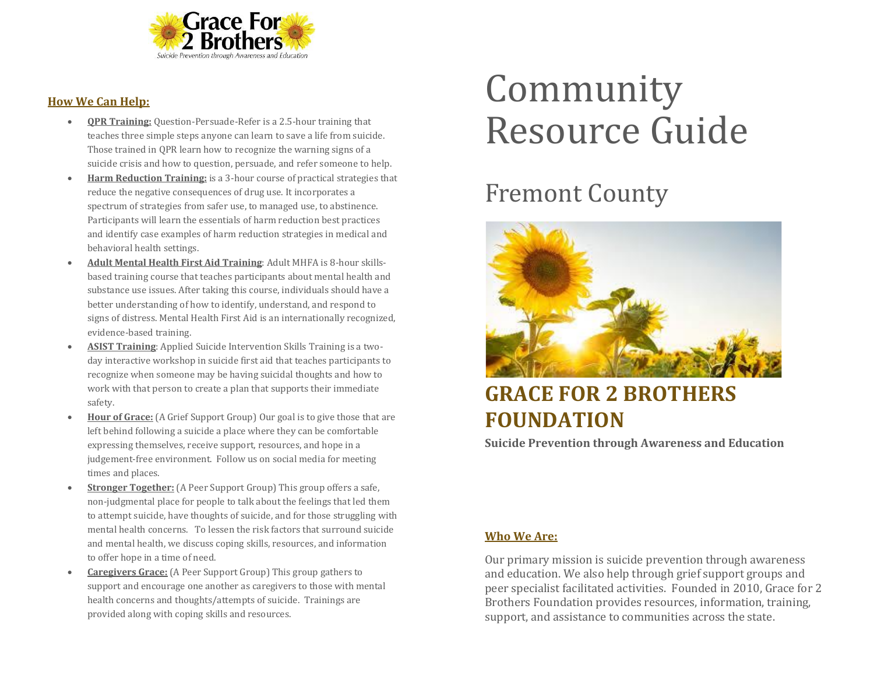

### **How We Can Help:**

- **QPR Training:** Question-Persuade-Refer is a 2.5-hour training that teaches three simple steps anyone can learn to save a life from suicide. Those trained in QPR learn how to recognize the warning signs of a suicide crisis and how to question, persuade, and refer someone to help.
- **Harm Reduction Training:** is a 3-hour course of practical strategies that reduce the negative consequences of drug use. It incorporates a spectrum of strategies from safer use, to managed use, to abstinence. Participants will learn the essentials of harm reduction best practices and identify case examples of harm reduction strategies in medical and behavioral health settings.
- **Adult Mental Health First Aid Training**: Adult MHFA is 8-hour skillsbased training course that teaches participants about mental health and substance use issues. After taking this course, individuals should have a better understanding of how to identify, understand, and respond to signs of distress. Mental Health First Aid is an internationally recognized, evidence-based training.
- **ASIST Training**: Applied Suicide Intervention Skills Training is a twoday interactive workshop in suicide first aid that teaches participants to recognize when someone may be having suicidal thoughts and how to work with that person to create a plan that supports their immediate safety.
- **Hour of Grace:** (A Grief Support Group) Our goal is to give those that are left behind following a suicide a place where they can be comfortable expressing themselves, receive support, resources, and hope in a judgement-free environment. Follow us on social media for meeting times and places.
- **Stronger Together:** (A Peer Support Group) This group offers a safe, non-judgmental place for people to talk about the feelings that led them to attempt suicide, have thoughts of suicide, and for those struggling with mental health concerns. To lessen the risk factors that surround suicide and mental health, we discuss coping skills, resources, and information to offer hope in a time of need.
- **Caregivers Grace:** (A Peer Support Group) This group gathers to support and encourage one another as caregivers to those with mental health concerns and thoughts/attempts of suicide. Trainings are provided along with coping skills and resources.

# Community Resource Guide

# Fremont County



# **GRACE FOR 2 BROTHERS FOUNDATION**

**Suicide Prevention through Awareness and Education**

## **Who We Are:**

Our primary mission is suicide prevention through awareness and education. We also help through grief support groups and peer specialist facilitated activities. Founded in 2010, Grace for 2 Brothers Foundation provides resources, information, training, support, and assistance to communities across the state.